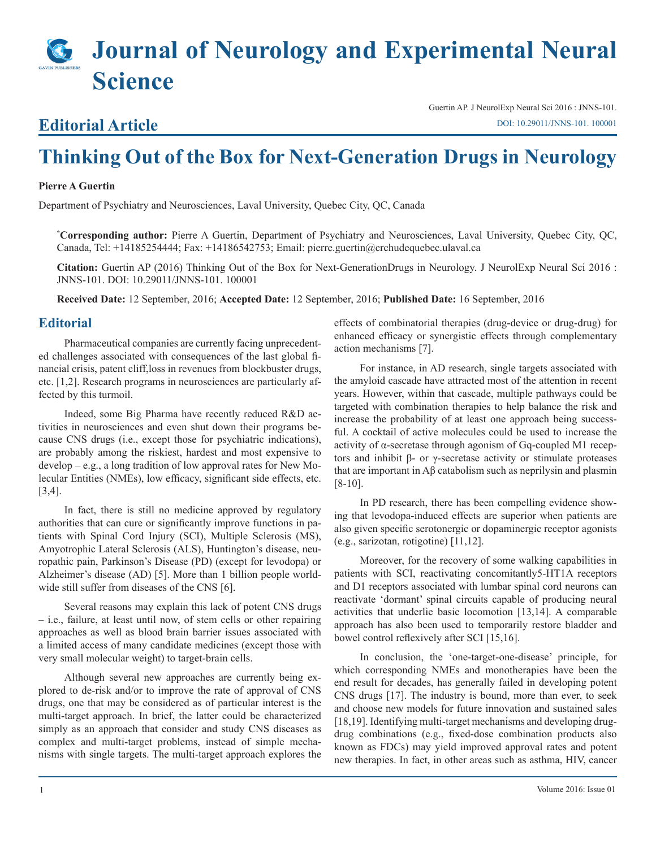# **Journal of Neurology and Experimental Neural Science**

### **Editorial Article**

Guertin AP. J NeurolExp Neural Sci 2016 : JNNS-101. [DOI: 10.29011/JNNS-101. 100001](
http://doi.org/10.29011/JNNS-101. 100001)

## **Thinking Out of the Box for Next-Generation Drugs in Neurology**

#### **Pierre A Guertin**

Department of Psychiatry and Neurosciences, Laval University, Quebec City, QC, Canada

**\* Corresponding author:** Pierre A Guertin, Department of Psychiatry and Neurosciences, Laval University, Quebec City, QC, Canada, Tel: +14185254444; Fax: +14186542753; Email: pierre.guertin@crchudequebec.ulaval.ca

**Citation:** Guertin AP (2016) Thinking Out of the Box for Next-GenerationDrugs in Neurology. J NeurolExp Neural Sci 2016 : JNNS-101. DOI: 10.29011/JNNS-101. 100001

**Received Date:** 12 September, 2016; **Accepted Date:** 12 September, 2016; **Published Date:** 16 September, 2016

#### **Editorial**

Pharmaceutical companies are currently facing unprecedented challenges associated with consequences of the last global financial crisis, patent cliff,loss in revenues from blockbuster drugs, etc. [1,2]. Research programs in neurosciences are particularly affected by this turmoil.

Indeed, some Big Pharma have recently reduced R&D activities in neurosciences and even shut down their programs because CNS drugs (i.e., except those for psychiatric indications), are probably among the riskiest, hardest and most expensive to develop – e.g., a long tradition of low approval rates for New Molecular Entities (NMEs), low efficacy, significant side effects, etc. [3,4].

In fact, there is still no medicine approved by regulatory authorities that can cure or significantly improve functions in patients with Spinal Cord Injury (SCI), Multiple Sclerosis (MS), Amyotrophic Lateral Sclerosis (ALS), Huntington's disease, neuropathic pain, Parkinson's Disease (PD) (except for levodopa) or Alzheimer's disease (AD) [5]. More than 1 billion people worldwide still suffer from diseases of the CNS [6].

Several reasons may explain this lack of potent CNS drugs – i.e., failure, at least until now, of stem cells or other repairing approaches as well as blood brain barrier issues associated with a limited access of many candidate medicines (except those with very small molecular weight) to target-brain cells.

Although several new approaches are currently being explored to de-risk and/or to improve the rate of approval of CNS drugs, one that may be considered as of particular interest is the multi-target approach. In brief, the latter could be characterized simply as an approach that consider and study CNS diseases as complex and multi-target problems, instead of simple mechanisms with single targets. The multi-target approach explores the

effects of combinatorial therapies (drug-device or drug-drug) for enhanced efficacy or synergistic effects through complementary action mechanisms [7].

For instance, in AD research, single targets associated with the amyloid cascade have attracted most of the attention in recent years. However, within that cascade, multiple pathways could be targeted with combination therapies to help balance the risk and increase the probability of at least one approach being successful. A cocktail of active molecules could be used to increase the activity of α-secretase through agonism of Gq-coupled M1 receptors and inhibit β- or γ-secretase activity or stimulate proteases that are important in Aβ catabolism such as neprilysin and plasmin [8-10].

In PD research, there has been compelling evidence showing that levodopa-induced effects are superior when patients are also given specific serotonergic or dopaminergic receptor agonists (e.g., sarizotan, rotigotine) [11,12].

Moreover, for the recovery of some walking capabilities in patients with SCI, reactivating concomitantly5-HT1A receptors and D1 receptors associated with lumbar spinal cord neurons can reactivate 'dormant' spinal circuits capable of producing neural activities that underlie basic locomotion [13,14]. A comparable approach has also been used to temporarily restore bladder and bowel control reflexively after SCI [15,16].

In conclusion, the 'one-target-one-disease' principle, for which corresponding NMEs and monotherapies have been the end result for decades, has generally failed in developing potent CNS drugs [17]. The industry is bound, more than ever, to seek and choose new models for future innovation and sustained sales [18,19]. Identifying multi-target mechanisms and developing drugdrug combinations (e.g., fixed-dose combination products also known as FDCs) may yield improved approval rates and potent new therapies. In fact, in other areas such as asthma, HIV, cancer